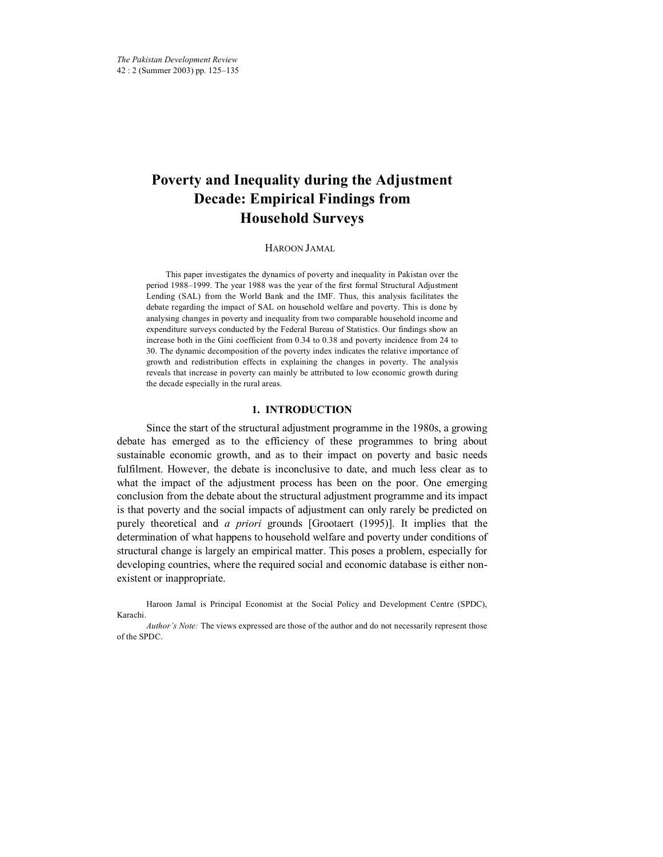# **Poverty and Inequality during the Adjustment Decade: Empirical Findings from Household Surveys**

## HAROON JAMAL\*

This paper investigates the dynamics of poverty and inequality in Pakistan over the period 1988–1999. The year 1988 was the year of the first formal Structural Adjustment Lending (SAL) from the World Bank and the IMF. Thus, this analysis facilitates the debate regarding the impact of SAL on household welfare and poverty. This is done by analysing changes in poverty and inequality from two comparable household income and expenditure surveys conducted by the Federal Bureau of Statistics. Our findings show an increase both in the Gini coefficient from 0.34 to 0.38 and poverty incidence from 24 to 30. The dynamic decomposition of the poverty index indicates the relative importance of growth and redistribution effects in explaining the changes in poverty. The analysis reveals that increase in poverty can mainly be attributed to low economic growth during the decade especially in the rural areas.

## **1. INTRODUCTION**

Since the start of the structural adjustment programme in the 1980s, a growing debate has emerged as to the efficiency of these programmes to bring about sustainable economic growth, and as to their impact on poverty and basic needs fulfilment. However, the debate is inconclusive to date, and much less clear as to what the impact of the adjustment process has been on the poor. One emerging conclusion from the debate about the structural adjustment programme and its impact is that poverty and the social impacts of adjustment can only rarely be predicted on purely theoretical and *a priori* grounds [Grootaert (1995)]. It implies that the determination of what happens to household welfare and poverty under conditions of structural change is largely an empirical matter. This poses a problem, especially for developing countries, where the required social and economic database is either nonexistent or inappropriate.

Haroon Jamal is Principal Economist at the Social Policy and Development Centre (SPDC), Karachi.

*Author's Note:* The views expressed are those of the author and do not necessarily represent those of the SPDC.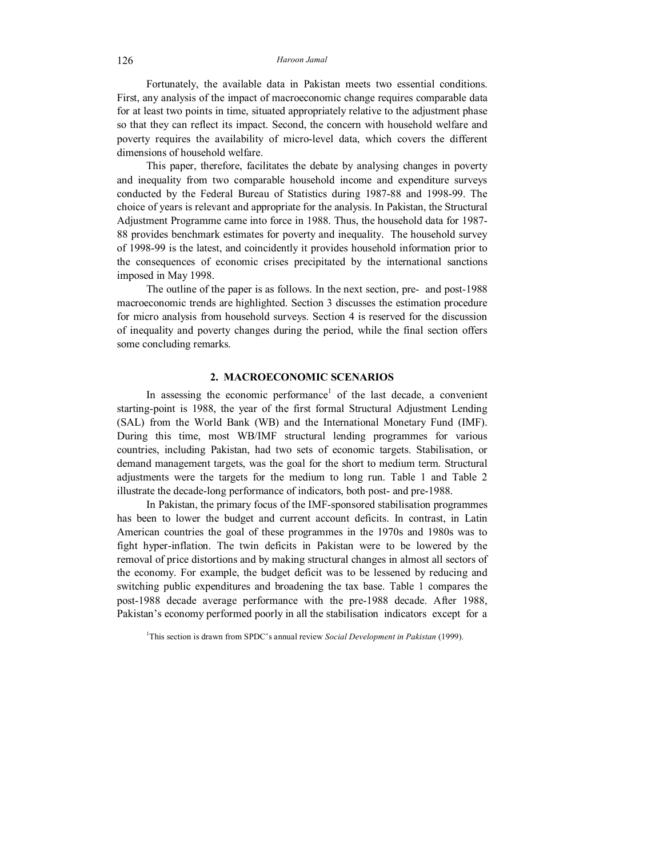Fortunately, the available data in Pakistan meets two essential conditions. First, any analysis of the impact of macroeconomic change requires comparable data for at least two points in time, situated appropriately relative to the adjustment phase so that they can reflect its impact. Second, the concern with household welfare and poverty requires the availability of micro-level data, which covers the different dimensions of household welfare.

This paper, therefore, facilitates the debate by analysing changes in poverty and inequality from two comparable household income and expenditure surveys conducted by the Federal Bureau of Statistics during 1987-88 and 1998-99. The choice of years is relevant and appropriate for the analysis. In Pakistan, the Structural Adjustment Programme came into force in 1988. Thus, the household data for 1987- 88 provides benchmark estimates for poverty and inequality. The household survey of 1998-99 is the latest, and coincidently it provides household information prior to the consequences of economic crises precipitated by the international sanctions imposed in May 1998.

The outline of the paper is as follows. In the next section, pre- and post-1988 macroeconomic trends are highlighted. Section 3 discusses the estimation procedure for micro analysis from household surveys. Section 4 is reserved for the discussion of inequality and poverty changes during the period, while the final section offers some concluding remarks.

### **2. MACROECONOMIC SCENARIOS**

In assessing the economic performance<sup>1</sup> of the last decade, a convenient starting-point is 1988, the year of the first formal Structural Adjustment Lending (SAL) from the World Bank (WB) and the International Monetary Fund (IMF). During this time, most WB/IMF structural lending programmes for various countries, including Pakistan, had two sets of economic targets. Stabilisation, or demand management targets, was the goal for the short to medium term. Structural adjustments were the targets for the medium to long run. Table 1 and Table 2 illustrate the decade-long performance of indicators, both post- and pre-1988.

In Pakistan, the primary focus of the IMF-sponsored stabilisation programmes has been to lower the budget and current account deficits. In contrast, in Latin American countries the goal of these programmes in the 1970s and 1980s was to fight hyper-inflation. The twin deficits in Pakistan were to be lowered by the removal of price distortions and by making structural changes in almost all sectors of the economy. For example, the budget deficit was to be lessened by reducing and switching public expenditures and broadening the tax base. Table 1 compares the post-1988 decade average performance with the pre-1988 decade. After 1988, Pakistan's economy performed poorly in all the stabilisation indicators except for a

<sup>1</sup>This section is drawn from SPDC's annual review *Social Development in Pakistan* (1999).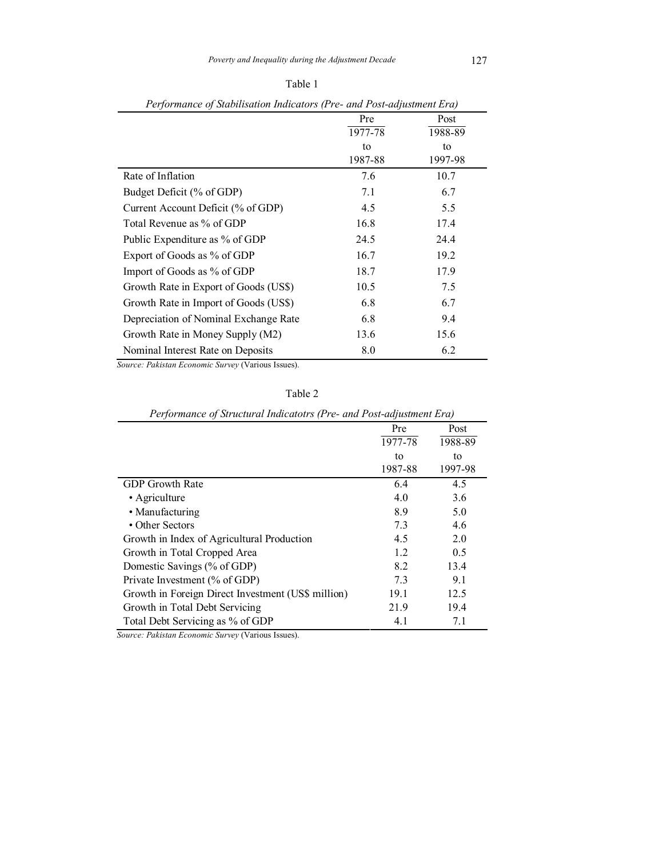| I<br>× |  |
|--------|--|

|                                       | Pre     | Post    |
|---------------------------------------|---------|---------|
|                                       | 1977-78 | 1988-89 |
|                                       | to      | to      |
|                                       | 1987-88 | 1997-98 |
| Rate of Inflation                     | 7.6     | 10.7    |
| Budget Deficit (% of GDP)             | 7.1     | 6.7     |
| Current Account Deficit (% of GDP)    | 4.5     | 5.5     |
| Total Revenue as % of GDP             | 16.8    | 17.4    |
| Public Expenditure as % of GDP        | 24.5    | 24.4    |
| Export of Goods as % of GDP           | 16.7    | 19.2    |
| Import of Goods as % of GDP           | 18.7    | 17.9    |
| Growth Rate in Export of Goods (US\$) | 10.5    | 7.5     |
| Growth Rate in Import of Goods (US\$) | 6.8     | 6.7     |
| Depreciation of Nominal Exchange Rate | 6.8     | 9.4     |
| Growth Rate in Money Supply (M2)      | 13.6    | 15.6    |
| Nominal Interest Rate on Deposits     | 8.0     | 6.2     |

*Performance of Stabilisation Indicators (Pre- and Post-adjustment Era)* 

*Source: Pakistan Economic Survey* (Various Issues).

| I criprimance of su acturat matemoirs (I re- and I ost-aufustment Eru) |         |         |  |  |  |
|------------------------------------------------------------------------|---------|---------|--|--|--|
|                                                                        | Pre     | Post    |  |  |  |
|                                                                        | 1977-78 | 1988-89 |  |  |  |
|                                                                        | to      | to      |  |  |  |
|                                                                        | 1987-88 | 1997-98 |  |  |  |
| <b>GDP</b> Growth Rate                                                 | 6.4     | 4.5     |  |  |  |
| • Agriculture                                                          | 4.0     | 3.6     |  |  |  |
| • Manufacturing                                                        | 8.9     | 5.0     |  |  |  |
| • Other Sectors                                                        | 7.3     | 4.6     |  |  |  |
| Growth in Index of Agricultural Production                             | 4.5     | 2.0     |  |  |  |
| Growth in Total Cropped Area                                           | 1.2     | 0.5     |  |  |  |
| Domestic Savings (% of GDP)                                            | 8.2     | 13.4    |  |  |  |
| Private Investment (% of GDP)                                          | 7.3     | 9.1     |  |  |  |
| Growth in Foreign Direct Investment (US\$ million)                     | 19.1    | 12.5    |  |  |  |
| Growth in Total Debt Servicing                                         | 21.9    | 19.4    |  |  |  |
| Total Debt Servicing as % of GDP                                       | 4.1     | 7.1     |  |  |  |

| Performance of Structural Indicatotrs (Pre- and Post-adjustment Era) |  |  |  |  |  |
|----------------------------------------------------------------------|--|--|--|--|--|
|                                                                      |  |  |  |  |  |

*Source: Pakistan Economic Survey* (Various Issues).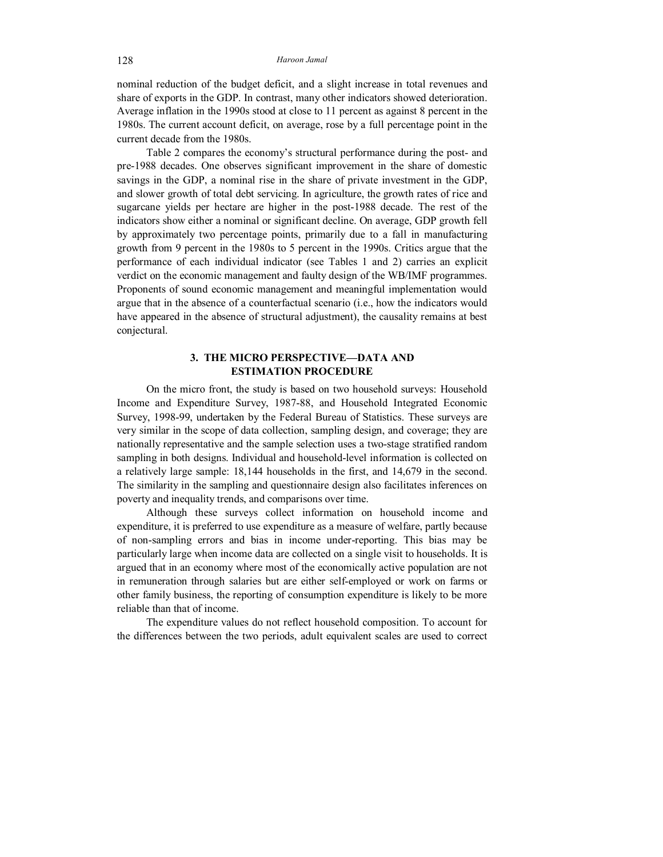nominal reduction of the budget deficit, and a slight increase in total revenues and share of exports in the GDP. In contrast, many other indicators showed deterioration. Average inflation in the 1990s stood at close to 11 percent as against 8 percent in the 1980s. The current account deficit, on average, rose by a full percentage point in the current decade from the 1980s.

Table 2 compares the economy's structural performance during the post- and pre-1988 decades. One observes significant improvement in the share of domestic savings in the GDP, a nominal rise in the share of private investment in the GDP, and slower growth of total debt servicing. In agriculture, the growth rates of rice and sugarcane yields per hectare are higher in the post-1988 decade. The rest of the indicators show either a nominal or significant decline. On average, GDP growth fell by approximately two percentage points, primarily due to a fall in manufacturing growth from 9 percent in the 1980s to 5 percent in the 1990s. Critics argue that the performance of each individual indicator (see Tables 1 and 2) carries an explicit verdict on the economic management and faulty design of the WB/IMF programmes. Proponents of sound economic management and meaningful implementation would argue that in the absence of a counterfactual scenario (i.e., how the indicators would have appeared in the absence of structural adjustment), the causality remains at best conjectural.

## **3. THE MICRO PERSPECTIVE—DATA AND ESTIMATION PROCEDURE**

On the micro front, the study is based on two household surveys: Household Income and Expenditure Survey, 1987-88, and Household Integrated Economic Survey, 1998-99, undertaken by the Federal Bureau of Statistics. These surveys are very similar in the scope of data collection, sampling design, and coverage; they are nationally representative and the sample selection uses a two-stage stratified random sampling in both designs. Individual and household-level information is collected on a relatively large sample: 18,144 households in the first, and 14,679 in the second. The similarity in the sampling and questionnaire design also facilitates inferences on poverty and inequality trends, and comparisons over time.

Although these surveys collect information on household income and expenditure, it is preferred to use expenditure as a measure of welfare, partly because of non-sampling errors and bias in income under-reporting. This bias may be particularly large when income data are collected on a single visit to households. It is argued that in an economy where most of the economically active population are not in remuneration through salaries but are either self-employed or work on farms or other family business, the reporting of consumption expenditure is likely to be more reliable than that of income.

The expenditure values do not reflect household composition. To account for the differences between the two periods, adult equivalent scales are used to correct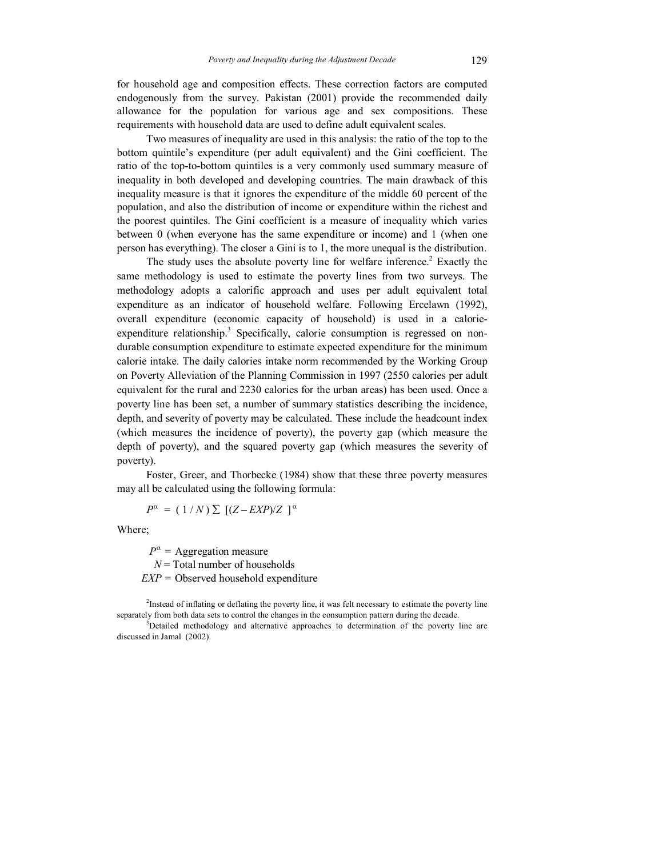for household age and composition effects. These correction factors are computed endogenously from the survey. Pakistan (2001) provide the recommended daily allowance for the population for various age and sex compositions. These requirements with household data are used to define adult equivalent scales.

Two measures of inequality are used in this analysis: the ratio of the top to the bottom quintile's expenditure (per adult equivalent) and the Gini coefficient. The ratio of the top-to-bottom quintiles is a very commonly used summary measure of inequality in both developed and developing countries. The main drawback of this inequality measure is that it ignores the expenditure of the middle 60 percent of the population, and also the distribution of income or expenditure within the richest and the poorest quintiles. The Gini coefficient is a measure of inequality which varies between 0 (when everyone has the same expenditure or income) and 1 (when one person has everything). The closer a Gini is to 1, the more unequal is the distribution.

The study uses the absolute poverty line for welfare inference.<sup>2</sup> Exactly the same methodology is used to estimate the poverty lines from two surveys. The methodology adopts a calorific approach and uses per adult equivalent total expenditure as an indicator of household welfare. Following Ercelawn (1992), overall expenditure (economic capacity of household) is used in a calorieexpenditure relationship.<sup>3</sup> Specifically, calorie consumption is regressed on nondurable consumption expenditure to estimate expected expenditure for the minimum calorie intake. The daily calories intake norm recommended by the Working Group on Poverty Alleviation of the Planning Commission in 1997 (2550 calories per adult equivalent for the rural and 2230 calories for the urban areas) has been used. Once a poverty line has been set, a number of summary statistics describing the incidence, depth, and severity of poverty may be calculated. These include the headcount index (which measures the incidence of poverty), the poverty gap (which measure the depth of poverty), and the squared poverty gap (which measures the severity of poverty).

Foster, Greer, and Thorbecke (1984) show that these three poverty measures may all be calculated using the following formula:

 $P^{\alpha} = (1/N) \sum [(Z - EXP)/Z]^{\alpha}$ 

Where;

 $P^{\alpha}$  = Aggregation measure *N* = Total number of households *EXP* = Observed household expenditure

<sup>2</sup>Instead of inflating or deflating the poverty line, it was felt necessary to estimate the poverty line separately from both data sets to control the changes in the consumption pattern during the decade.

<sup>3</sup>Detailed methodology and alternative approaches to determination of the poverty line are discussed in Jamal (2002).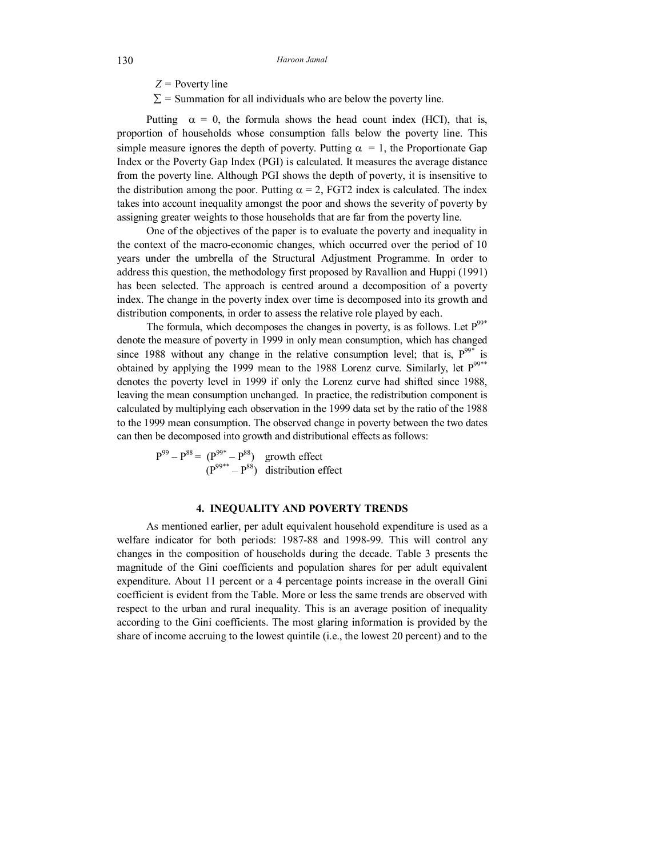*Z* = Poverty line

 $\Sigma$  = Summation for all individuals who are below the poverty line.

Putting  $\alpha = 0$ , the formula shows the head count index (HCI), that is, proportion of households whose consumption falls below the poverty line. This simple measure ignores the depth of poverty. Putting  $\alpha = 1$ , the Proportionate Gap Index or the Poverty Gap Index (PGI) is calculated. It measures the average distance from the poverty line. Although PGI shows the depth of poverty, it is insensitive to the distribution among the poor. Putting  $\alpha = 2$ , FGT2 index is calculated. The index takes into account inequality amongst the poor and shows the severity of poverty by assigning greater weights to those households that are far from the poverty line.

One of the objectives of the paper is to evaluate the poverty and inequality in the context of the macro-economic changes, which occurred over the period of 10 years under the umbrella of the Structural Adjustment Programme. In order to address this question, the methodology first proposed by Ravallion and Huppi (1991) has been selected. The approach is centred around a decomposition of a poverty index. The change in the poverty index over time is decomposed into its growth and distribution components, in order to assess the relative role played by each.

The formula, which decomposes the changes in poverty, is as follows. Let  $P^{99*}$ denote the measure of poverty in 1999 in only mean consumption, which has changed since 1988 without any change in the relative consumption level; that is,  $P^{99*}$  is obtained by applying the 1999 mean to the 1988 Lorenz curve. Similarly, let  $P^{99**}$ denotes the poverty level in 1999 if only the Lorenz curve had shifted since 1988, leaving the mean consumption unchanged. In practice, the redistribution component is calculated by multiplying each observation in the 1999 data set by the ratio of the 1988 to the 1999 mean consumption. The observed change in poverty between the two dates can then be decomposed into growth and distributional effects as follows:

 $P^{99} - P^{88} = (P^{99*} - P^{88})$  growth effect  $(P^{99**} - P^{88})$  distribution effect

## **4. INEQUALITY AND POVERTY TRENDS**

As mentioned earlier, per adult equivalent household expenditure is used as a welfare indicator for both periods: 1987-88 and 1998-99. This will control any changes in the composition of households during the decade. Table 3 presents the magnitude of the Gini coefficients and population shares for per adult equivalent expenditure. About 11 percent or a 4 percentage points increase in the overall Gini coefficient is evident from the Table. More or less the same trends are observed with respect to the urban and rural inequality. This is an average position of inequality according to the Gini coefficients. The most glaring information is provided by the share of income accruing to the lowest quintile (i.e., the lowest 20 percent) and to the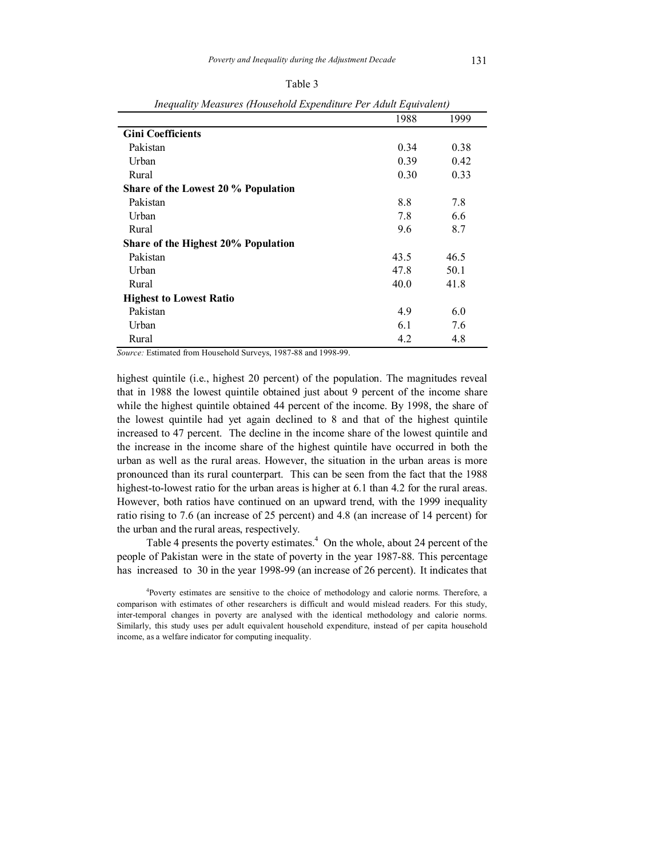| I |  |
|---|--|

|                                     | 1988 | 1999 |
|-------------------------------------|------|------|
| <b>Gini Coefficients</b>            |      |      |
| Pakistan                            | 0.34 | 0.38 |
| Urban                               | 0.39 | 0.42 |
| Rural                               | 0.30 | 0.33 |
| Share of the Lowest 20 % Population |      |      |
| Pakistan                            | 8.8  | 7.8  |
| Urban                               | 7.8  | 6.6  |
| Rural                               | 9.6  | 8.7  |
| Share of the Highest 20% Population |      |      |
| Pakistan                            | 43.5 | 46.5 |
| Urban                               | 47.8 | 50.1 |
| Rural                               | 40.0 | 41.8 |
| <b>Highest to Lowest Ratio</b>      |      |      |
| Pakistan                            | 4.9  | 6.0  |
| Urban                               | 6.1  | 7.6  |
| Rural                               | 4.2  | 4.8  |
|                                     |      |      |

*Inequality Measures (Household Expenditure Per Adult Equivalent)* 

*Source:* Estimated from Household Surveys, 1987-88 and 1998-99.

highest quintile (i.e., highest 20 percent) of the population. The magnitudes reveal that in 1988 the lowest quintile obtained just about 9 percent of the income share while the highest quintile obtained 44 percent of the income. By 1998, the share of the lowest quintile had yet again declined to 8 and that of the highest quintile increased to 47 percent. The decline in the income share of the lowest quintile and the increase in the income share of the highest quintile have occurred in both the urban as well as the rural areas. However, the situation in the urban areas is more pronounced than its rural counterpart. This can be seen from the fact that the 1988 highest-to-lowest ratio for the urban areas is higher at 6.1 than 4.2 for the rural areas. However, both ratios have continued on an upward trend, with the 1999 inequality ratio rising to 7.6 (an increase of 25 percent) and 4.8 (an increase of 14 percent) for the urban and the rural areas, respectively.

Table 4 presents the poverty estimates.<sup>4</sup> On the whole, about 24 percent of the people of Pakistan were in the state of poverty in the year 1987-88. This percentage has increased to 30 in the year 1998-99 (an increase of 26 percent). It indicates that

<sup>4</sup>Poverty estimates are sensitive to the choice of methodology and calorie norms. Therefore, a comparison with estimates of other researchers is difficult and would mislead readers. For this study, inter-temporal changes in poverty are analysed with the identical methodology and calorie norms. Similarly, this study uses per adult equivalent household expenditure, instead of per capita household income, as a welfare indicator for computing inequality.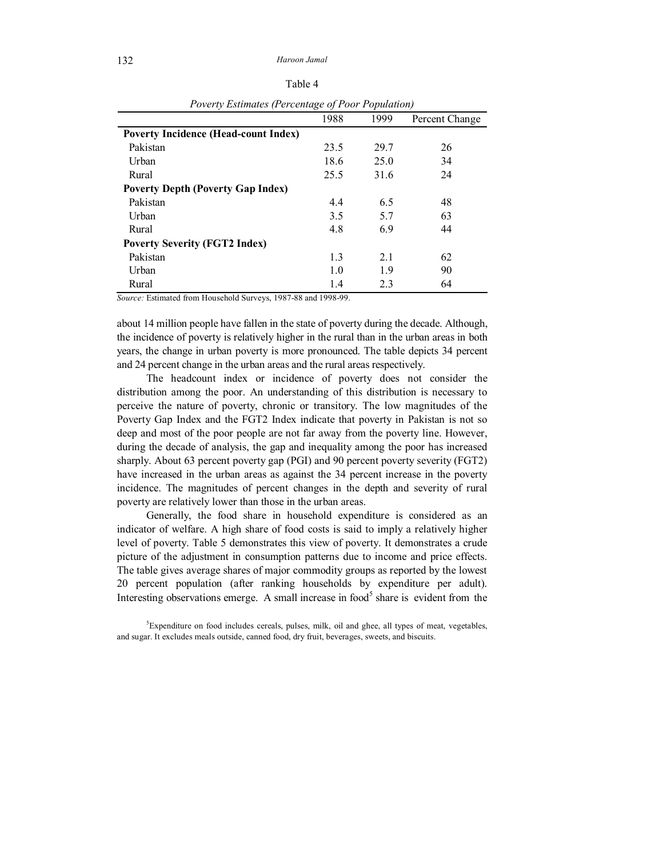| ×<br>I<br>× |
|-------------|
|-------------|

| $\epsilon$ , $\epsilon$ is seen the set $\epsilon$ is a second set of $\epsilon$ is set of $\epsilon$ is set of $\epsilon$ |      |      |                |  |  |
|----------------------------------------------------------------------------------------------------------------------------|------|------|----------------|--|--|
|                                                                                                                            | 1988 | 1999 | Percent Change |  |  |
| <b>Poverty Incidence (Head-count Index)</b>                                                                                |      |      |                |  |  |
| Pakistan                                                                                                                   | 23.5 | 29.7 | 26             |  |  |
| Urban                                                                                                                      | 18.6 | 25.0 | 34             |  |  |
| Rural                                                                                                                      | 25.5 | 31.6 | 24             |  |  |
| <b>Poverty Depth (Poverty Gap Index)</b>                                                                                   |      |      |                |  |  |
| Pakistan                                                                                                                   | 4.4  | 6.5  | 48             |  |  |
| Urban                                                                                                                      | 3.5  | 5.7  | 63             |  |  |
| Rural                                                                                                                      | 4.8  | 6.9  | 44             |  |  |
| <b>Poverty Severity (FGT2 Index)</b>                                                                                       |      |      |                |  |  |
| Pakistan                                                                                                                   | 13   | 21   | 62             |  |  |
| Urban                                                                                                                      | 1.0  | 1.9  | 90             |  |  |
| Rural                                                                                                                      | 1.4  | 2.3  | 64             |  |  |

*Poverty Estimates (Percentage of Poor Population)* 

*Source:* Estimated from Household Surveys, 1987-88 and 1998-99.

about 14 million people have fallen in the state of poverty during the decade. Although, the incidence of poverty is relatively higher in the rural than in the urban areas in both years, the change in urban poverty is more pronounced. The table depicts 34 percent and 24 percent change in the urban areas and the rural areas respectively.

The headcount index or incidence of poverty does not consider the distribution among the poor. An understanding of this distribution is necessary to perceive the nature of poverty, chronic or transitory. The low magnitudes of the Poverty Gap Index and the FGT2 Index indicate that poverty in Pakistan is not so deep and most of the poor people are not far away from the poverty line. However, during the decade of analysis, the gap and inequality among the poor has increased sharply. About 63 percent poverty gap (PGI) and 90 percent poverty severity (FGT2) have increased in the urban areas as against the 34 percent increase in the poverty incidence. The magnitudes of percent changes in the depth and severity of rural poverty are relatively lower than those in the urban areas.

Generally, the food share in household expenditure is considered as an indicator of welfare. A high share of food costs is said to imply a relatively higher level of poverty. Table 5 demonstrates this view of poverty. It demonstrates a crude picture of the adjustment in consumption patterns due to income and price effects. The table gives average shares of major commodity groups as reported by the lowest 20 percent population (after ranking households by expenditure per adult). Interesting observations emerge. A small increase in food<sup>5</sup> share is evident from the

<sup>&</sup>lt;sup>5</sup>Expenditure on food includes cereals, pulses, milk, oil and ghee, all types of meat, vegetables, and sugar. It excludes meals outside, canned food, dry fruit, beverages, sweets, and biscuits.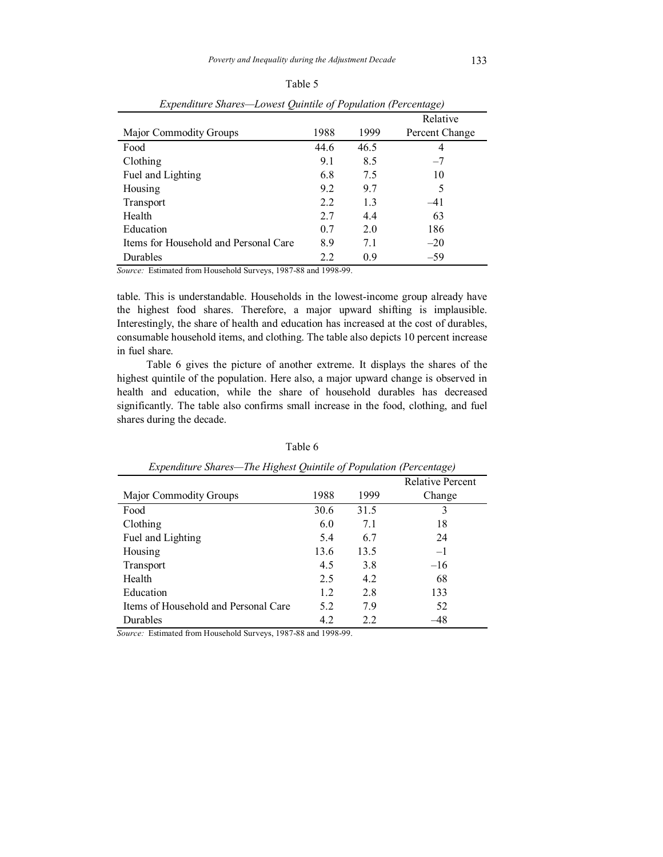| Expenature Snares—Lowest Quintue of Population (Percentage) |      |      |                |  |  |
|-------------------------------------------------------------|------|------|----------------|--|--|
|                                                             |      |      | Relative       |  |  |
| <b>Major Commodity Groups</b>                               | 1988 | 1999 | Percent Change |  |  |
| Food                                                        | 44.6 | 46.5 | 4              |  |  |
| Clothing                                                    | 9.1  | 8.5  | $-7$           |  |  |
| Fuel and Lighting                                           | 6.8  | 7.5  | 10             |  |  |
| Housing                                                     | 9.2  | 9.7  | 5              |  |  |
| Transport                                                   | 2.2  | 1.3  | $-41$          |  |  |
| Health                                                      | 2.7  | 4.4  | 63             |  |  |
| Education                                                   | 0.7  | 2.0  | 186            |  |  |
| Items for Household and Personal Care                       | 8.9  | 7.1  | $-20$          |  |  |
| Durables                                                    | 2.2  | 0.9  | $-59$          |  |  |

Table 5 *Expenditure Shares—Lowest Quintile of Population (Percentage)* 

*Source:* Estimated from Household Surveys, 1987-88 and 1998-99.

table. This is understandable. Households in the lowest-income group already have the highest food shares. Therefore, a major upward shifting is implausible. Interestingly, the share of health and education has increased at the cost of durables, consumable household items, and clothing. The table also depicts 10 percent increase in fuel share.

Table 6 gives the picture of another extreme. It displays the shares of the highest quintile of the population. Here also, a major upward change is observed in health and education, while the share of household durables has decreased significantly. The table also confirms small increase in the food, clothing, and fuel shares during the decade.

| Expenditure Shares—The Highest Quintile of Population (Percentage) |      |      |                         |  |  |
|--------------------------------------------------------------------|------|------|-------------------------|--|--|
|                                                                    |      |      | <b>Relative Percent</b> |  |  |
| <b>Major Commodity Groups</b>                                      | 1988 | 1999 | Change                  |  |  |
| Food                                                               | 30.6 | 31.5 | 3                       |  |  |
| Clothing                                                           | 6.0  | 7.1  | 18                      |  |  |
| Fuel and Lighting                                                  | 54   | 6.7  | 24                      |  |  |
| Housing                                                            | 13.6 | 13.5 | $-1$                    |  |  |
| <b>Transport</b>                                                   | 45   | 3.8  | $-16$                   |  |  |
| Health                                                             | 2.5  | 42   | 68                      |  |  |
| Education                                                          | 12   | 28   | 133                     |  |  |
| Items of Household and Personal Care                               | 52   | 79   | 52                      |  |  |
| Durables                                                           | 4.2  | 2.2  | 48                      |  |  |

Table 6

*Source:* Estimated from Household Surveys, 1987-88 and 1998-99.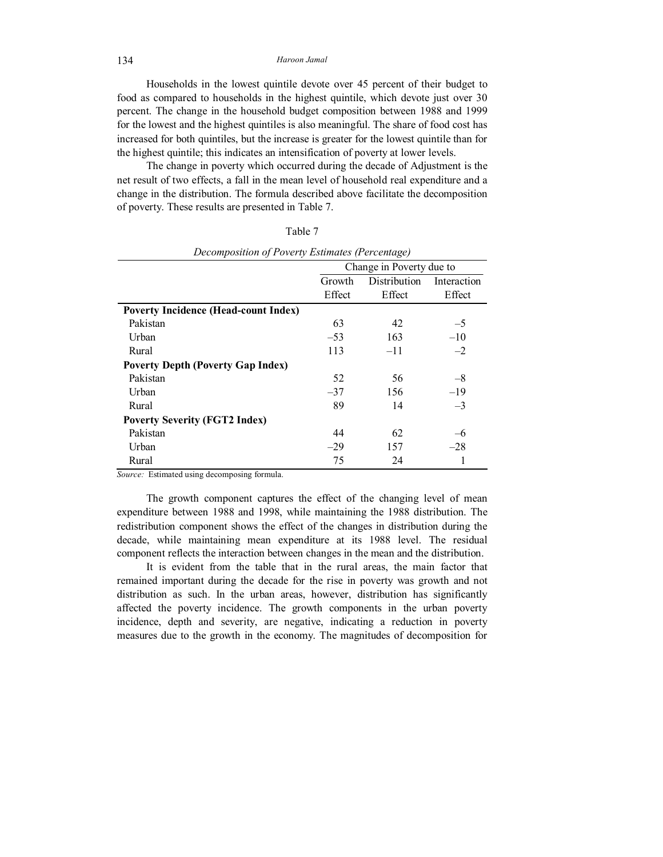134 *Haroon Jamal* 

Households in the lowest quintile devote over 45 percent of their budget to food as compared to households in the highest quintile, which devote just over 30 percent. The change in the household budget composition between 1988 and 1999 for the lowest and the highest quintiles is also meaningful. The share of food cost has increased for both quintiles, but the increase is greater for the lowest quintile than for the highest quintile; this indicates an intensification of poverty at lower levels.

The change in poverty which occurred during the decade of Adjustment is the net result of two effects, a fall in the mean level of household real expenditure and a change in the distribution. The formula described above facilitate the decomposition of poverty. These results are presented in Table 7.

| ×<br>I<br>× |  |
|-------------|--|
|-------------|--|

|                                             | Change in Poverty due to |              |             |  |
|---------------------------------------------|--------------------------|--------------|-------------|--|
|                                             | Growth                   | Distribution | Interaction |  |
|                                             | Effect                   | Effect       | Effect      |  |
| <b>Poverty Incidence (Head-count Index)</b> |                          |              |             |  |
| Pakistan                                    | 63                       | 42           | $-5$        |  |
| Urban                                       | $-53$                    | 163          | $-10$       |  |
| Rural                                       | 113                      | $-11$        | $-2$        |  |
| <b>Poverty Depth (Poverty Gap Index)</b>    |                          |              |             |  |
| Pakistan                                    | 52                       | 56           | $-8$        |  |
| Urban                                       | $-37$                    | 156          | $-19$       |  |
| Rural                                       | 89                       | 14           | $-3$        |  |
| <b>Poverty Severity (FGT2 Index)</b>        |                          |              |             |  |
| Pakistan                                    | 44                       | 62           | -6          |  |
| Urban                                       | $-29$                    | 157          | $-28$       |  |
| Rural                                       | 75                       | 24           | 1           |  |

| Decomposition of Poverty Estimates (Percentage) |  |  |
|-------------------------------------------------|--|--|
|                                                 |  |  |

*Source:* Estimated using decomposing formula.

The growth component captures the effect of the changing level of mean expenditure between 1988 and 1998, while maintaining the 1988 distribution. The redistribution component shows the effect of the changes in distribution during the decade, while maintaining mean expenditure at its 1988 level. The residual component reflects the interaction between changes in the mean and the distribution.

It is evident from the table that in the rural areas, the main factor that remained important during the decade for the rise in poverty was growth and not distribution as such. In the urban areas, however, distribution has significantly affected the poverty incidence. The growth components in the urban poverty incidence, depth and severity, are negative, indicating a reduction in poverty measures due to the growth in the economy. The magnitudes of decomposition for